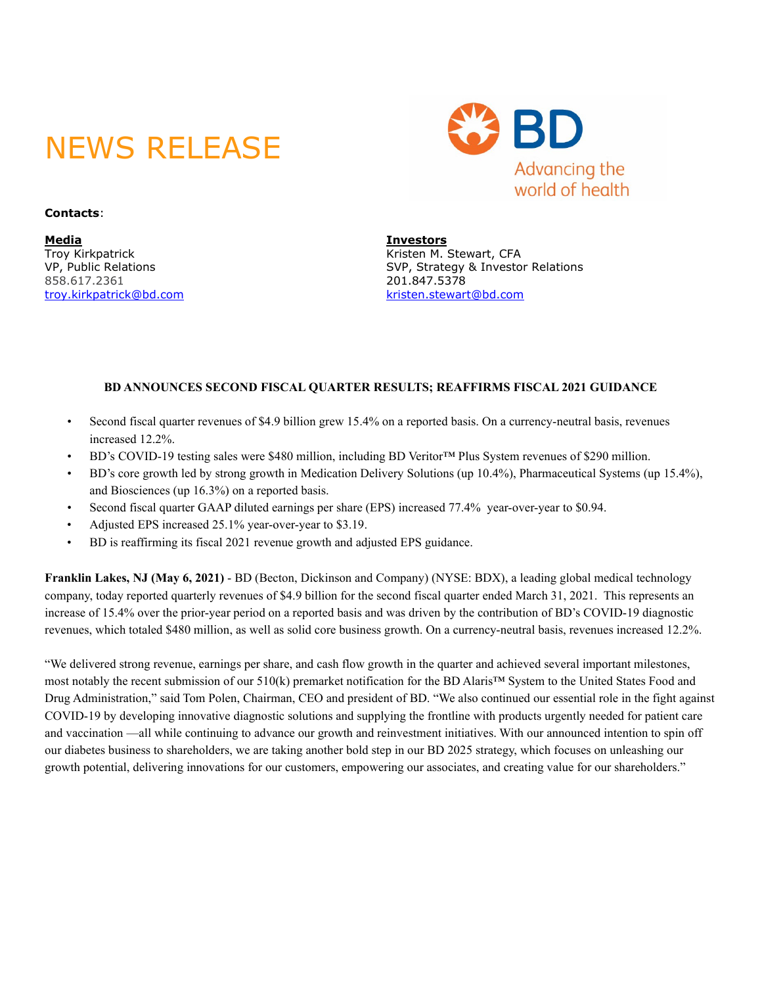# NEWS RELEASE



**Contacts**:

**Media Investors** [troy.kirkpatrick@bd.com](mailto:troy.kirkpatrick@bd.com) [kristen.stewart@bd.com](mailto:kristen.stewart@bd.com) 

Kristen M. Stewart, CFA VP, Public Relations<br>858.617.2361<br>201.847.5378<br>201.847.5378 858.617.2361 201.847.5378

### **BD ANNOUNCES SECOND FISCAL QUARTER RESULTS; REAFFIRMS FISCAL 2021 GUIDANCE**

- Second fiscal quarter revenues of \$4.9 billion grew 15.4% on a reported basis. On a currency-neutral basis, revenues increased 12.2%.
- BD's COVID-19 testing sales were \$480 million, including BD Veritor™ Plus System revenues of \$290 million.
- BD's core growth led by strong growth in Medication Delivery Solutions (up 10.4%), Pharmaceutical Systems (up 15.4%), and Biosciences (up 16.3%) on a reported basis.
- Second fiscal quarter GAAP diluted earnings per share (EPS) increased 77.4% year-over-year to \$0.94.
- Adjusted EPS increased 25.1% year-over-year to \$3.19.
- BD is reaffirming its fiscal 2021 revenue growth and adjusted EPS guidance.

**Franklin Lakes, NJ (May 6, 2021)** - BD (Becton, Dickinson and Company) (NYSE: BDX), a leading global medical technology company, today reported quarterly revenues of \$4.9 billion for the second fiscal quarter ended March 31, 2021. This represents an increase of 15.4% over the prior-year period on a reported basis and was driven by the contribution of BD's COVID-19 diagnostic revenues, which totaled \$480 million, as well as solid core business growth. On a currency-neutral basis, revenues increased 12.2%.

"We delivered strong revenue, earnings per share, and cash flow growth in the quarter and achieved several important milestones, most notably the recent submission of our 510(k) premarket notification for the BD Alaris™ System to the United States Food and Drug Administration," said Tom Polen, Chairman, CEO and president of BD. "We also continued our essential role in the fight against COVID-19 by developing innovative diagnostic solutions and supplying the frontline with products urgently needed for patient care and vaccination —all while continuing to advance our growth and reinvestment initiatives. With our announced intention to spin off our diabetes business to shareholders, we are taking another bold step in our BD 2025 strategy, which focuses on unleashing our growth potential, delivering innovations for our customers, empowering our associates, and creating value for our shareholders."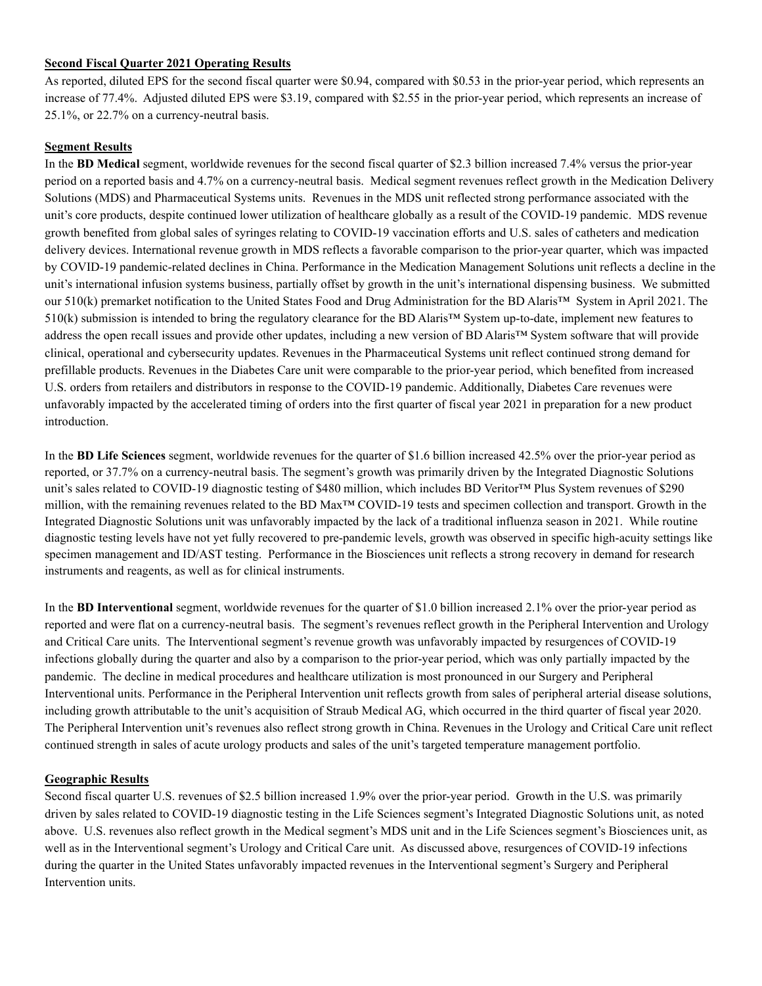### **Second Fiscal Quarter 2021 Operating Results**

As reported, diluted EPS for the second fiscal quarter were \$0.94, compared with \$0.53 in the prior-year period, which represents an increase of 77.4%. Adjusted diluted EPS were \$3.19, compared with \$2.55 in the prior-year period, which represents an increase of 25.1%, or 22.7% on a currency-neutral basis.

### **Segment Results**

In the **BD Medical** segment, worldwide revenues for the second fiscal quarter of \$2.3 billion increased 7.4% versus the prior-year period on a reported basis and 4.7% on a currency-neutral basis. Medical segment revenues reflect growth in the Medication Delivery Solutions (MDS) and Pharmaceutical Systems units. Revenues in the MDS unit reflected strong performance associated with the unit's core products, despite continued lower utilization of healthcare globally as a result of the COVID-19 pandemic. MDS revenue growth benefited from global sales of syringes relating to COVID-19 vaccination efforts and U.S. sales of catheters and medication delivery devices. International revenue growth in MDS reflects a favorable comparison to the prior-year quarter, which was impacted by COVID-19 pandemic-related declines in China. Performance in the Medication Management Solutions unit reflects a decline in the unit's international infusion systems business, partially offset by growth in the unit's international dispensing business. We submitted our 510(k) premarket notification to the United States Food and Drug Administration for the BD Alaris™ System in April 2021. The 510(k) submission is intended to bring the regulatory clearance for the BD Alaris™ System up-to-date, implement new features to address the open recall issues and provide other updates, including a new version of BD Alaris™ System software that will provide clinical, operational and cybersecurity updates. Revenues in the Pharmaceutical Systems unit reflect continued strong demand for prefillable products. Revenues in the Diabetes Care unit were comparable to the prior-year period, which benefited from increased U.S. orders from retailers and distributors in response to the COVID-19 pandemic. Additionally, Diabetes Care revenues were unfavorably impacted by the accelerated timing of orders into the first quarter of fiscal year 2021 in preparation for a new product introduction.

In the **BD Life Sciences** segment, worldwide revenues for the quarter of \$1.6 billion increased 42.5% over the prior-year period as reported, or 37.7% on a currency-neutral basis. The segment's growth was primarily driven by the Integrated Diagnostic Solutions unit's sales related to COVID-19 diagnostic testing of \$480 million, which includes BD Veritor™ Plus System revenues of \$290 million, with the remaining revenues related to the BD Max™ COVID-19 tests and specimen collection and transport. Growth in the Integrated Diagnostic Solutions unit was unfavorably impacted by the lack of a traditional influenza season in 2021. While routine diagnostic testing levels have not yet fully recovered to pre-pandemic levels, growth was observed in specific high-acuity settings like specimen management and ID/AST testing. Performance in the Biosciences unit reflects a strong recovery in demand for research instruments and reagents, as well as for clinical instruments.

In the **BD Interventional** segment, worldwide revenues for the quarter of \$1.0 billion increased 2.1% over the prior-year period as reported and were flat on a currency-neutral basis. The segment's revenues reflect growth in the Peripheral Intervention and Urology and Critical Care units. The Interventional segment's revenue growth was unfavorably impacted by resurgences of COVID-19 infections globally during the quarter and also by a comparison to the prior-year period, which was only partially impacted by the pandemic. The decline in medical procedures and healthcare utilization is most pronounced in our Surgery and Peripheral Interventional units. Performance in the Peripheral Intervention unit reflects growth from sales of peripheral arterial disease solutions, including growth attributable to the unit's acquisition of Straub Medical AG, which occurred in the third quarter of fiscal year 2020. The Peripheral Intervention unit's revenues also reflect strong growth in China. Revenues in the Urology and Critical Care unit reflect continued strength in sales of acute urology products and sales of the unit's targeted temperature management portfolio.

#### **Geographic Results**

Second fiscal quarter U.S. revenues of \$2.5 billion increased 1.9% over the prior-year period. Growth in the U.S. was primarily driven by sales related to COVID-19 diagnostic testing in the Life Sciences segment's Integrated Diagnostic Solutions unit, as noted above. U.S. revenues also reflect growth in the Medical segment's MDS unit and in the Life Sciences segment's Biosciences unit, as well as in the Interventional segment's Urology and Critical Care unit. As discussed above, resurgences of COVID-19 infections during the quarter in the United States unfavorably impacted revenues in the Interventional segment's Surgery and Peripheral Intervention units.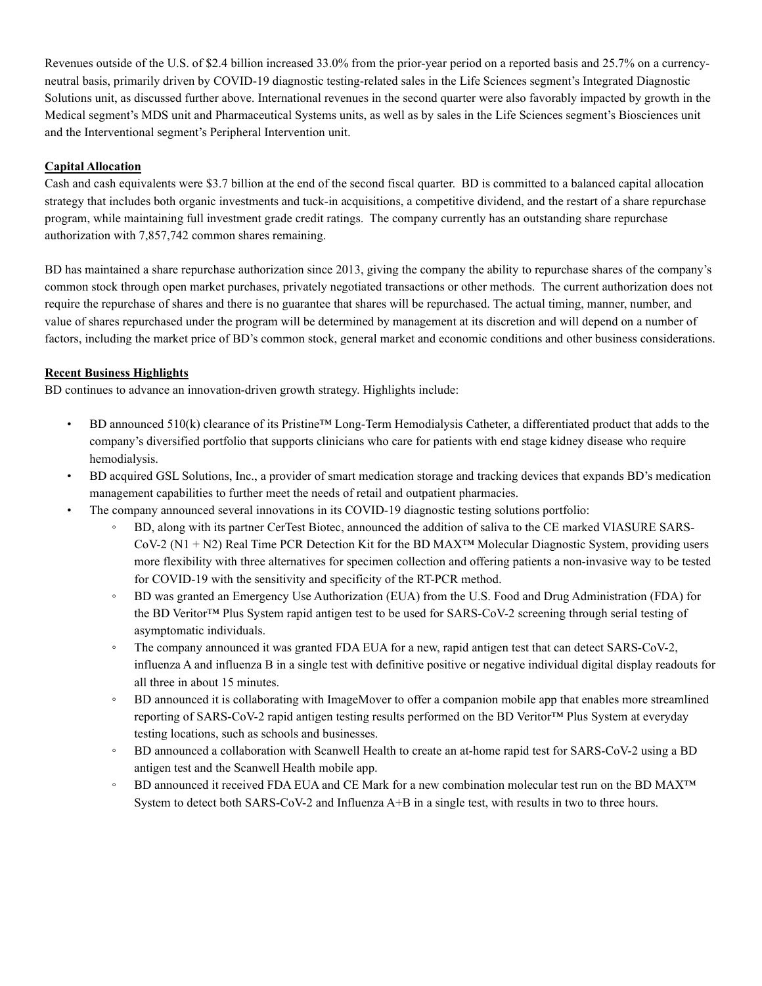Revenues outside of the U.S. of \$2.4 billion increased 33.0% from the prior-year period on a reported basis and 25.7% on a currencyneutral basis, primarily driven by COVID-19 diagnostic testing-related sales in the Life Sciences segment's Integrated Diagnostic Solutions unit, as discussed further above. International revenues in the second quarter were also favorably impacted by growth in the Medical segment's MDS unit and Pharmaceutical Systems units, as well as by sales in the Life Sciences segment's Biosciences unit and the Interventional segment's Peripheral Intervention unit.

### **Capital Allocation**

Cash and cash equivalents were \$3.7 billion at the end of the second fiscal quarter. BD is committed to a balanced capital allocation strategy that includes both organic investments and tuck-in acquisitions, a competitive dividend, and the restart of a share repurchase program, while maintaining full investment grade credit ratings. The company currently has an outstanding share repurchase authorization with 7,857,742 common shares remaining.

BD has maintained a share repurchase authorization since 2013, giving the company the ability to repurchase shares of the company's common stock through open market purchases, privately negotiated transactions or other methods. The current authorization does not require the repurchase of shares and there is no guarantee that shares will be repurchased. The actual timing, manner, number, and value of shares repurchased under the program will be determined by management at its discretion and will depend on a number of factors, including the market price of BD's common stock, general market and economic conditions and other business considerations.

### **Recent Business Highlights**

BD continues to advance an innovation-driven growth strategy. Highlights include:

- BD announced 510(k) clearance of its Pristine™ Long-Term Hemodialysis Catheter, a differentiated product that adds to the company's diversified portfolio that supports clinicians who care for patients with end stage kidney disease who require hemodialysis.
- BD acquired GSL Solutions, Inc., a provider of smart medication storage and tracking devices that expands BD's medication management capabilities to further meet the needs of retail and outpatient pharmacies.
- The company announced several innovations in its COVID-19 diagnostic testing solutions portfolio:
	- BD, along with its partner CerTest Biotec, announced the addition of saliva to the CE marked VIASURE SARS-CoV-2 (N1 + N2) Real Time PCR Detection Kit for the BD MAX™ Molecular Diagnostic System, providing users more flexibility with three alternatives for specimen collection and offering patients a non-invasive way to be tested for COVID-19 with the sensitivity and specificity of the RT-PCR method.
	- BD was granted an Emergency Use Authorization (EUA) from the U.S. Food and Drug Administration (FDA) for the BD Veritor™ Plus System rapid antigen test to be used for SARS-CoV-2 screening through serial testing of asymptomatic individuals.
	- The company announced it was granted FDA EUA for a new, rapid antigen test that can detect SARS-CoV-2, influenza A and influenza B in a single test with definitive positive or negative individual digital display readouts for all three in about 15 minutes.
	- BD announced it is collaborating with ImageMover to offer a companion mobile app that enables more streamlined reporting of SARS-CoV-2 rapid antigen testing results performed on the BD Veritor™ Plus System at everyday testing locations, such as schools and businesses.
	- BD announced a collaboration with Scanwell Health to create an at-home rapid test for SARS-CoV-2 using a BD antigen test and the Scanwell Health mobile app.
	- BD announced it received FDA EUA and CE Mark for a new combination molecular test run on the BD MAX™ System to detect both SARS-CoV-2 and Influenza A+B in a single test, with results in two to three hours.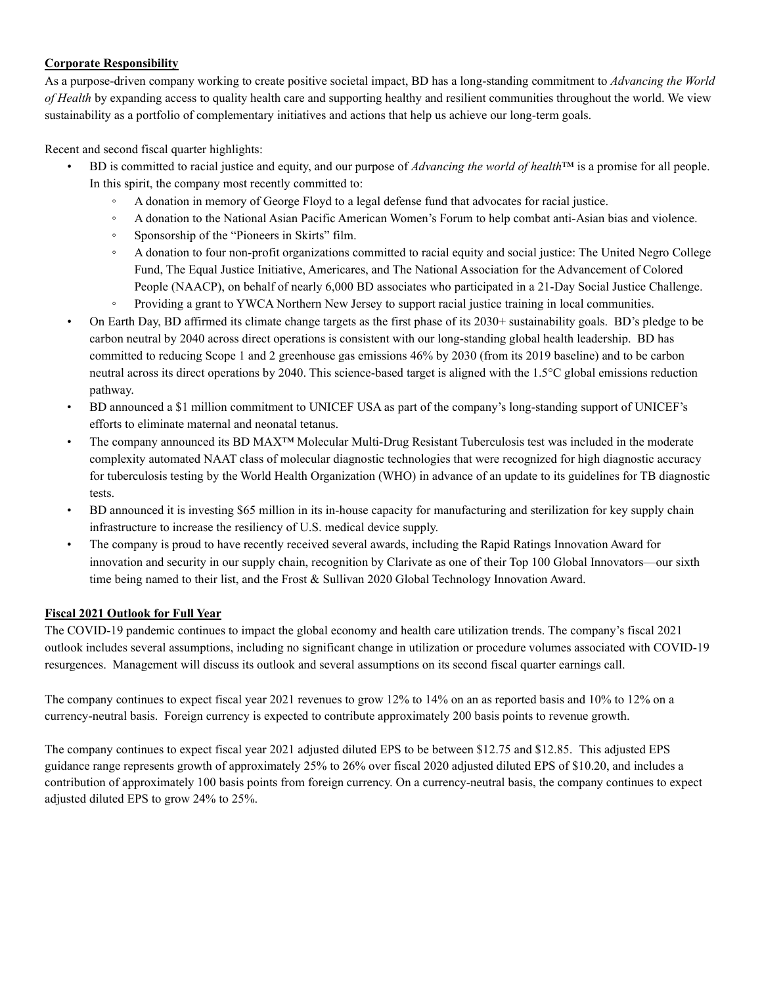### **Corporate Responsibility**

As a purpose-driven company working to create positive societal impact, BD has a long-standing commitment to *Advancing the World of Health* by expanding access to quality health care and supporting healthy and resilient communities throughout the world. We view sustainability as a portfolio of complementary initiatives and actions that help us achieve our long-term goals.

Recent and second fiscal quarter highlights:

- BD is committed to racial justice and equity, and our purpose of *Advancing the world of health*™ is a promise for all people. In this spirit, the company most recently committed to:
	- A donation in memory of George Floyd to a legal defense fund that advocates for racial justice.
	- A donation to the National Asian Pacific American Women's Forum to help combat anti-Asian bias and violence.
	- Sponsorship of the "Pioneers in Skirts" film.
	- A donation to four non-profit organizations committed to racial equity and social justice: The United Negro College Fund, The Equal Justice Initiative, Americares, and The National Association for the Advancement of Colored People (NAACP), on behalf of nearly 6,000 BD associates who participated in a 21-Day Social Justice Challenge.
	- Providing a grant to YWCA Northern New Jersey to support racial justice training in local communities.
- On Earth Day, BD affirmed its climate change targets as the first phase of its 2030+ sustainability goals. BD's pledge to be carbon neutral by 2040 across direct operations is consistent with our long-standing global health leadership. BD has committed to reducing Scope 1 and 2 greenhouse gas emissions 46% by 2030 (from its 2019 baseline) and to be carbon neutral across its direct operations by 2040. This science-based target is aligned with the 1.5°C global emissions reduction pathway.
- BD announced a \$1 million commitment to UNICEF USA as part of the company's long-standing support of UNICEF's efforts to eliminate maternal and neonatal tetanus.
- The company announced its BD MAX™ Molecular Multi-Drug Resistant Tuberculosis test was included in the moderate complexity automated NAAT class of molecular diagnostic technologies that were recognized for high diagnostic accuracy for tuberculosis testing by the World Health Organization (WHO) in advance of an update to its guidelines for TB diagnostic tests.
- BD announced it is investing \$65 million in its in-house capacity for manufacturing and sterilization for key supply chain infrastructure to increase the resiliency of U.S. medical device supply.
- The company is proud to have recently received several awards, including the Rapid Ratings Innovation Award for innovation and security in our supply chain, recognition by Clarivate as one of their Top 100 Global Innovators—our sixth time being named to their list, and the Frost & Sullivan 2020 Global Technology Innovation Award.

# **Fiscal 2021 Outlook for Full Year**

The COVID-19 pandemic continues to impact the global economy and health care utilization trends. The company's fiscal 2021 outlook includes several assumptions, including no significant change in utilization or procedure volumes associated with COVID-19 resurgences. Management will discuss its outlook and several assumptions on its second fiscal quarter earnings call.

The company continues to expect fiscal year 2021 revenues to grow 12% to 14% on an as reported basis and 10% to 12% on a currency-neutral basis. Foreign currency is expected to contribute approximately 200 basis points to revenue growth.

The company continues to expect fiscal year 2021 adjusted diluted EPS to be between \$12.75 and \$12.85. This adjusted EPS guidance range represents growth of approximately 25% to 26% over fiscal 2020 adjusted diluted EPS of \$10.20, and includes a contribution of approximately 100 basis points from foreign currency. On a currency-neutral basis, the company continues to expect adjusted diluted EPS to grow 24% to 25%.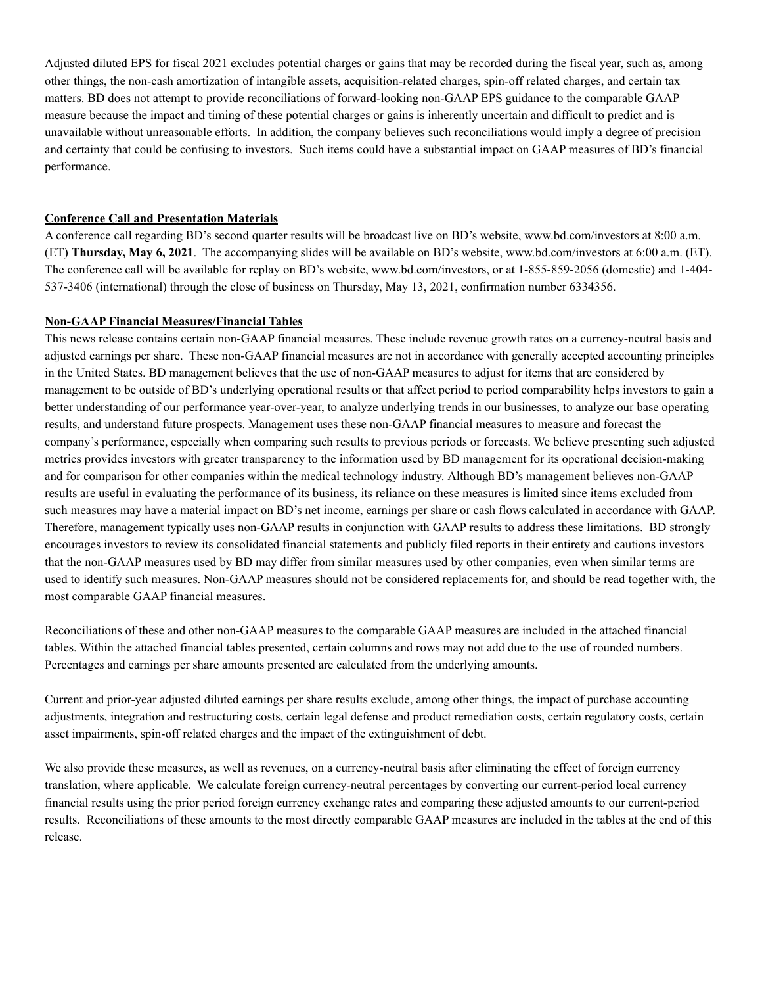Adjusted diluted EPS for fiscal 2021 excludes potential charges or gains that may be recorded during the fiscal year, such as, among other things, the non-cash amortization of intangible assets, acquisition-related charges, spin-off related charges, and certain tax matters. BD does not attempt to provide reconciliations of forward-looking non-GAAP EPS guidance to the comparable GAAP measure because the impact and timing of these potential charges or gains is inherently uncertain and difficult to predict and is unavailable without unreasonable efforts. In addition, the company believes such reconciliations would imply a degree of precision and certainty that could be confusing to investors. Such items could have a substantial impact on GAAP measures of BD's financial performance.

### **Conference Call and Presentation Materials**

A conference call regarding BD's second quarter results will be broadcast live on BD's website, www.bd.com/investors at 8:00 a.m. (ET) **Thursday, May 6, 2021**. The accompanying slides will be available on BD's website, www.bd.com/investors at 6:00 a.m. (ET). The conference call will be available for replay on BD's website, www.bd.com/investors, or at 1-855-859-2056 (domestic) and 1-404- 537-3406 (international) through the close of business on Thursday, May 13, 2021, confirmation number 6334356.

#### **Non-GAAP Financial Measures/Financial Tables**

This news release contains certain non-GAAP financial measures. These include revenue growth rates on a currency-neutral basis and adjusted earnings per share. These non-GAAP financial measures are not in accordance with generally accepted accounting principles in the United States. BD management believes that the use of non-GAAP measures to adjust for items that are considered by management to be outside of BD's underlying operational results or that affect period to period comparability helps investors to gain a better understanding of our performance year-over-year, to analyze underlying trends in our businesses, to analyze our base operating results, and understand future prospects. Management uses these non-GAAP financial measures to measure and forecast the company's performance, especially when comparing such results to previous periods or forecasts. We believe presenting such adjusted metrics provides investors with greater transparency to the information used by BD management for its operational decision-making and for comparison for other companies within the medical technology industry. Although BD's management believes non-GAAP results are useful in evaluating the performance of its business, its reliance on these measures is limited since items excluded from such measures may have a material impact on BD's net income, earnings per share or cash flows calculated in accordance with GAAP. Therefore, management typically uses non-GAAP results in conjunction with GAAP results to address these limitations. BD strongly encourages investors to review its consolidated financial statements and publicly filed reports in their entirety and cautions investors that the non-GAAP measures used by BD may differ from similar measures used by other companies, even when similar terms are used to identify such measures. Non-GAAP measures should not be considered replacements for, and should be read together with, the most comparable GAAP financial measures.

Reconciliations of these and other non-GAAP measures to the comparable GAAP measures are included in the attached financial tables. Within the attached financial tables presented, certain columns and rows may not add due to the use of rounded numbers. Percentages and earnings per share amounts presented are calculated from the underlying amounts.

Current and prior-year adjusted diluted earnings per share results exclude, among other things, the impact of purchase accounting adjustments, integration and restructuring costs, certain legal defense and product remediation costs, certain regulatory costs, certain asset impairments, spin-off related charges and the impact of the extinguishment of debt.

We also provide these measures, as well as revenues, on a currency-neutral basis after eliminating the effect of foreign currency translation, where applicable. We calculate foreign currency-neutral percentages by converting our current-period local currency financial results using the prior period foreign currency exchange rates and comparing these adjusted amounts to our current-period results. Reconciliations of these amounts to the most directly comparable GAAP measures are included in the tables at the end of this release.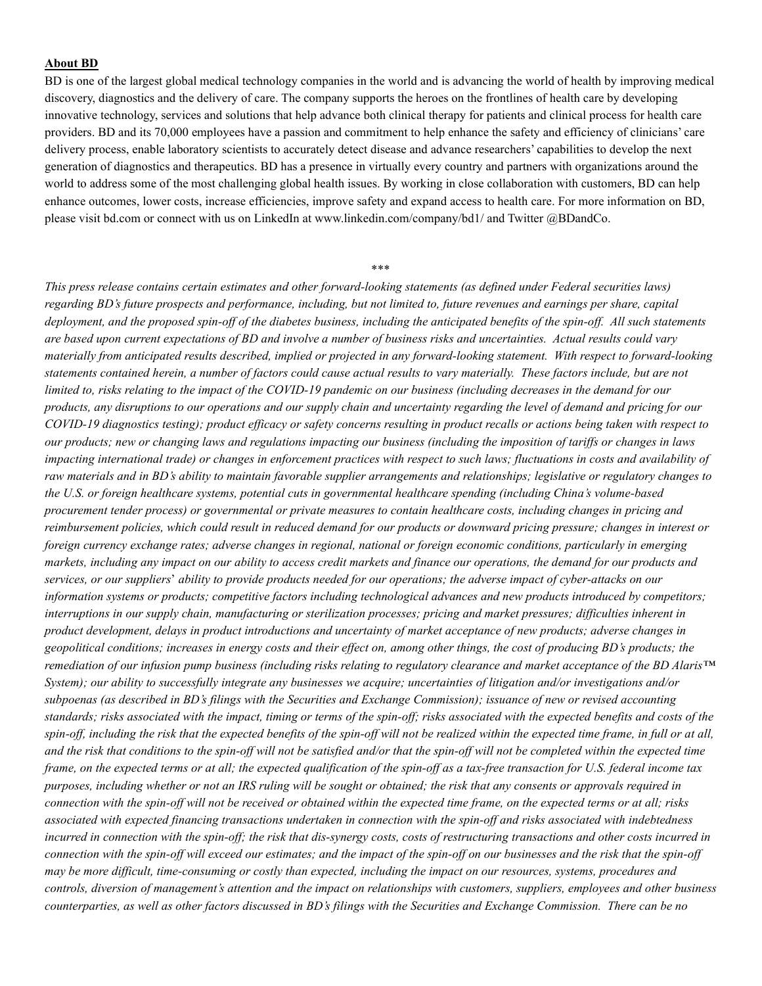#### **About BD**

BD is one of the largest global medical technology companies in the world and is advancing the world of health by improving medical discovery, diagnostics and the delivery of care. The company supports the heroes on the frontlines of health care by developing innovative technology, services and solutions that help advance both clinical therapy for patients and clinical process for health care providers. BD and its 70,000 employees have a passion and commitment to help enhance the safety and efficiency of clinicians' care delivery process, enable laboratory scientists to accurately detect disease and advance researchers' capabilities to develop the next generation of diagnostics and therapeutics. BD has a presence in virtually every country and partners with organizations around the world to address some of the most challenging global health issues. By working in close collaboration with customers, BD can help enhance outcomes, lower costs, increase efficiencies, improve safety and expand access to health care. For more information on BD, please visit bd.com or connect with us on LinkedIn at www.linkedin.com/company/bd1/ and Twitter @BDandCo.

#### \*\*\*

*This press release contains certain estimates and other forward-looking statements (as defined under Federal securities laws) regarding BD's future prospects and performance, including, but not limited to, future revenues and earnings per share, capital deployment, and the proposed spin-off of the diabetes business, including the anticipated benefits of the spin-off. All such statements are based upon current expectations of BD and involve a number of business risks and uncertainties. Actual results could vary materially from anticipated results described, implied or projected in any forward-looking statement. With respect to forward-looking statements contained herein, a number of factors could cause actual results to vary materially. These factors include, but are not limited to, risks relating to the impact of the COVID-19 pandemic on our business (including decreases in the demand for our products, any disruptions to our operations and our supply chain and uncertainty regarding the level of demand and pricing for our COVID-19 diagnostics testing); product efficacy or safety concerns resulting in product recalls or actions being taken with respect to our products; new or changing laws and regulations impacting our business (including the imposition of tariffs or changes in laws impacting international trade) or changes in enforcement practices with respect to such laws; fluctuations in costs and availability of raw materials and in BD's ability to maintain favorable supplier arrangements and relationships; legislative or regulatory changes to the U.S. or foreign healthcare systems, potential cuts in governmental healthcare spending (including China's volume-based procurement tender process) or governmental or private measures to contain healthcare costs, including changes in pricing and reimbursement policies, which could result in reduced demand for our products or downward pricing pressure; changes in interest or foreign currency exchange rates; adverse changes in regional, national or foreign economic conditions, particularly in emerging markets, including any impact on our ability to access credit markets and finance our operations, the demand for our products and services, or our suppliers*' *ability to provide products needed for our operations; the adverse impact of cyber-attacks on our information systems or products; competitive factors including technological advances and new products introduced by competitors; interruptions in our supply chain, manufacturing or sterilization processes; pricing and market pressures; difficulties inherent in product development, delays in product introductions and uncertainty of market acceptance of new products; adverse changes in geopolitical conditions; increases in energy costs and their effect on, among other things, the cost of producing BD's products; the remediation of our infusion pump business (including risks relating to regulatory clearance and market acceptance of the BD Alaris™ System*); our ability to successfully integrate any businesses we acquire; uncertainties of litigation and/or investigations and/or *subpoenas (as described in BD's filings with the Securities and Exchange Commission); issuance of new or revised accounting standards; risks associated with the impact, timing or terms of the spin-off; risks associated with the expected benefits and costs of the spin-off, including the risk that the expected benefits of the spin-off will not be realized within the expected time frame, in full or at all, and the risk that conditions to the spin-off will not be satisfied and/or that the spin-off will not be completed within the expected time frame, on the expected terms or at all; the expected qualification of the spin-off as a tax-free transaction for U.S. federal income tax purposes, including whether or not an IRS ruling will be sought or obtained; the risk that any consents or approvals required in connection with the spin-off will not be received or obtained within the expected time frame, on the expected terms or at all; risks associated with expected financing transactions undertaken in connection with the spin-off and risks associated with indebtedness incurred in connection with the spin-off; the risk that dis-synergy costs, costs of restructuring transactions and other costs incurred in connection with the spin-off will exceed our estimates; and the impact of the spin-off on our businesses and the risk that the spin-off may be more difficult, time-consuming or costly than expected, including the impact on our resources, systems, procedures and controls, diversion of management's attention and the impact on relationships with customers, suppliers, employees and other business counterparties, as well as other factors discussed in BD's filings with the Securities and Exchange Commission. There can be no*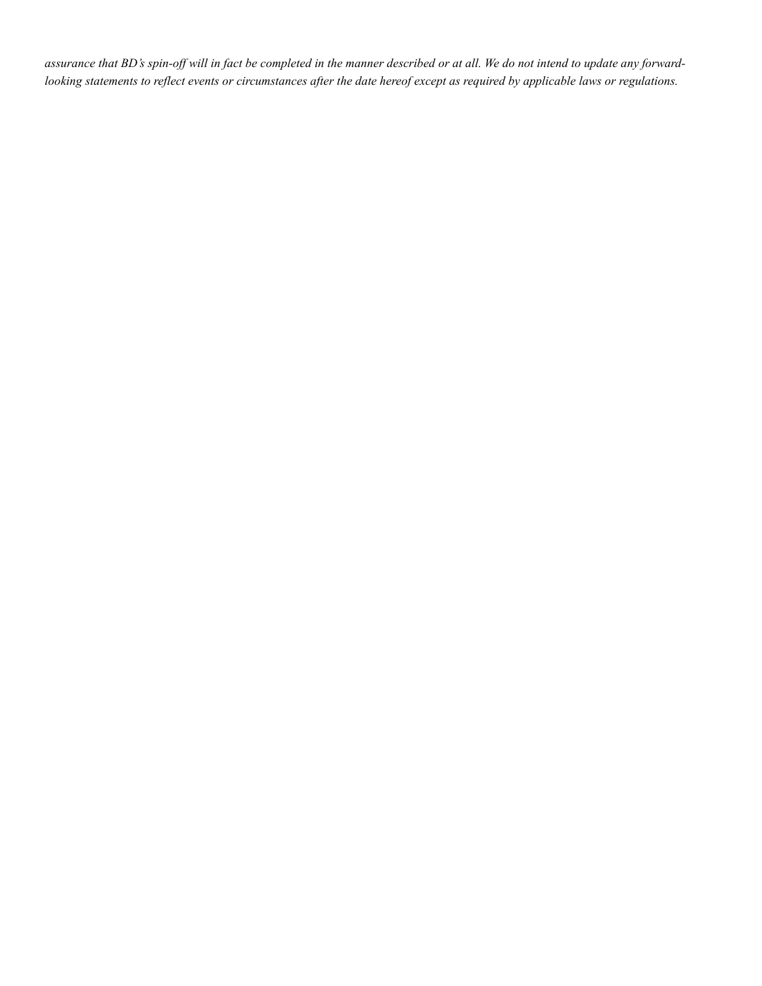*assurance that BD's spin-off will in fact be completed in the manner described or at all. We do not intend to update any forwardlooking statements to reflect events or circumstances after the date hereof except as required by applicable laws or regulations.*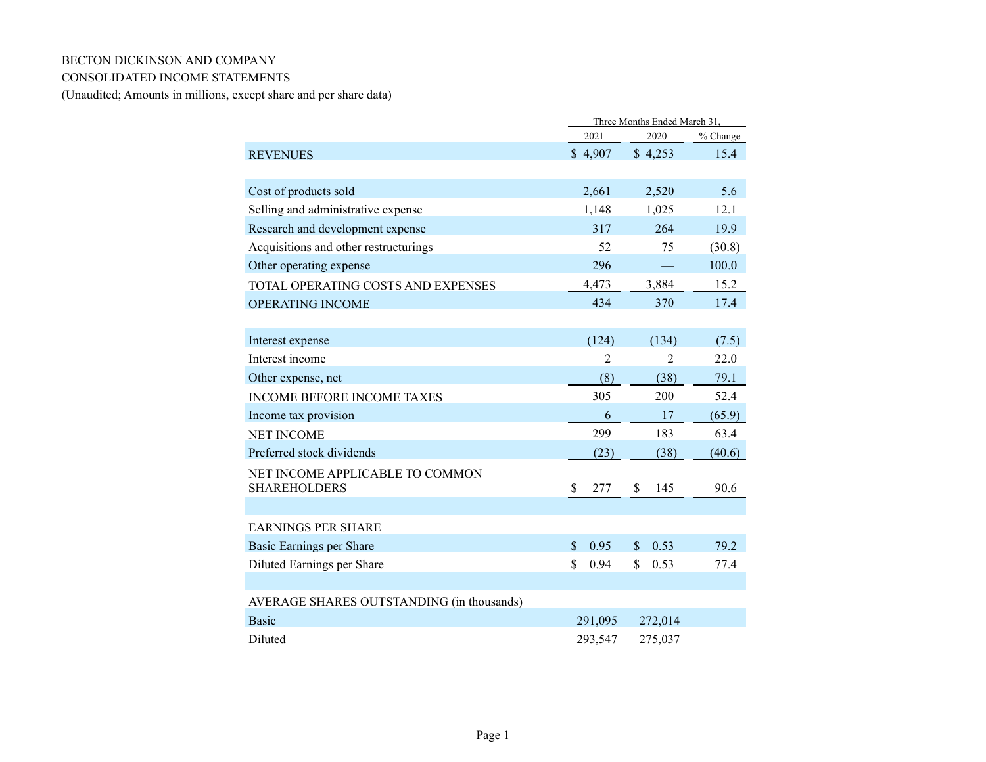### BECTON DICKINSON AND COMPANY

## CONSOLIDATED INCOME STATEMENTS

(Unaudited; Amounts in millions, except share and per share data)

|                                           | Three Months Ended March 31, |                       |            |  |  |  |
|-------------------------------------------|------------------------------|-----------------------|------------|--|--|--|
|                                           | 2021                         | 2020                  | $%$ Change |  |  |  |
| <b>REVENUES</b>                           | \$4,907                      | \$4,253               | 15.4       |  |  |  |
|                                           |                              |                       |            |  |  |  |
| Cost of products sold                     | 2,661                        | 2,520                 | 5.6        |  |  |  |
| Selling and administrative expense        | 1,148                        | 1,025                 | 12.1       |  |  |  |
| Research and development expense          | 317                          | 264                   | 19.9       |  |  |  |
| Acquisitions and other restructurings     | 52                           | 75                    | (30.8)     |  |  |  |
| Other operating expense                   | 296                          |                       | 100.0      |  |  |  |
| TOTAL OPERATING COSTS AND EXPENSES        | 4,473                        | 3,884                 | 15.2       |  |  |  |
| OPERATING INCOME                          | 434                          | 370                   | 17.4       |  |  |  |
|                                           |                              |                       |            |  |  |  |
| Interest expense                          | (124)                        | (134)                 | (7.5)      |  |  |  |
| Interest income                           | $\overline{2}$               | $\overline{2}$        | 22.0       |  |  |  |
| Other expense, net                        | (8)                          | (38)                  | 79.1       |  |  |  |
| <b>INCOME BEFORE INCOME TAXES</b>         | 305                          | 200                   | 52.4       |  |  |  |
| Income tax provision                      | 6                            | 17                    | (65.9)     |  |  |  |
| <b>NET INCOME</b>                         | 299                          | 183                   | 63.4       |  |  |  |
| Preferred stock dividends                 | (23)                         | (38)                  | (40.6)     |  |  |  |
| NET INCOME APPLICABLE TO COMMON           |                              |                       |            |  |  |  |
| <b>SHAREHOLDERS</b>                       | \$<br>277                    | \$<br>145             | 90.6       |  |  |  |
|                                           |                              |                       |            |  |  |  |
| <b>EARNINGS PER SHARE</b>                 |                              |                       |            |  |  |  |
| Basic Earnings per Share                  | $\mathbb{S}$<br>0.95         | 0.53<br>$\mathbf{\$}$ | 79.2       |  |  |  |
| Diluted Earnings per Share                | \$<br>0.94                   | \$<br>0.53            | 77.4       |  |  |  |
|                                           |                              |                       |            |  |  |  |
| AVERAGE SHARES OUTSTANDING (in thousands) |                              |                       |            |  |  |  |
| <b>Basic</b>                              | 291,095                      | 272,014               |            |  |  |  |
| Diluted                                   | 293,547                      | 275,037               |            |  |  |  |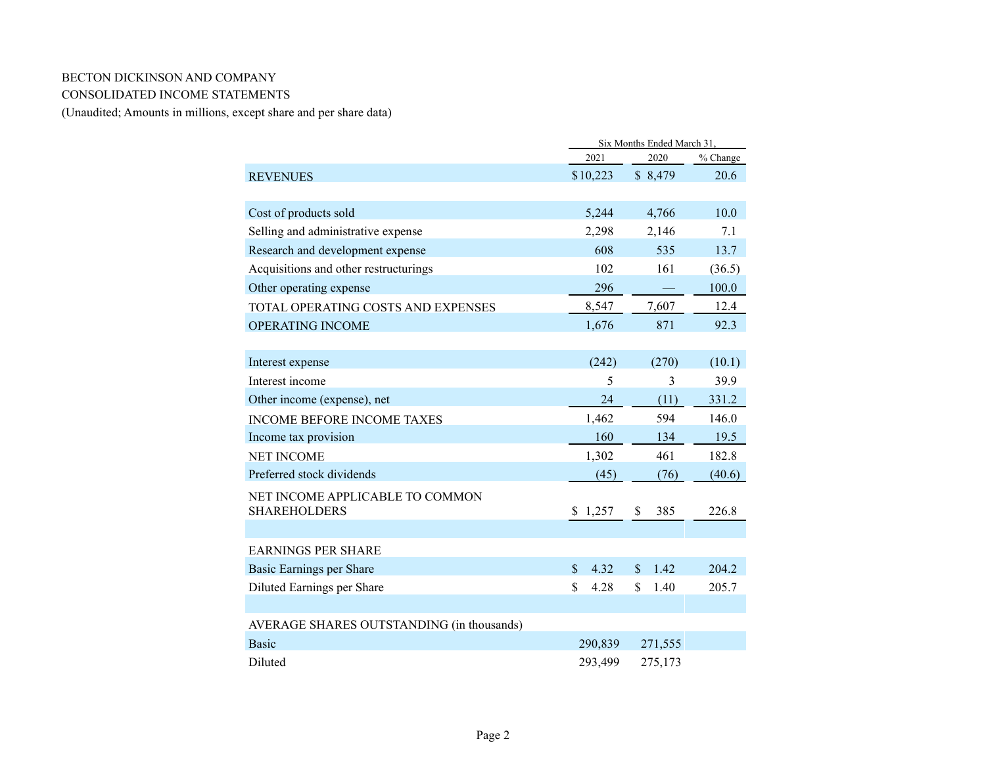# BECTON DICKINSON AND COMPANY CONSOLIDATED INCOME STATEMENTS

(Unaudited; Amounts in millions, except share and per share data)

|                                           | Six Months Ended March 31. |                       |          |  |  |  |  |  |
|-------------------------------------------|----------------------------|-----------------------|----------|--|--|--|--|--|
|                                           | 2021                       | 2020                  | % Change |  |  |  |  |  |
| <b>REVENUES</b>                           | \$10,223                   | \$8,479               | 20.6     |  |  |  |  |  |
|                                           |                            |                       |          |  |  |  |  |  |
| Cost of products sold                     | 5,244                      | 4,766                 | 10.0     |  |  |  |  |  |
| Selling and administrative expense        | 2,298                      | 2,146                 | 7.1      |  |  |  |  |  |
| Research and development expense          | 608                        | 535                   | 13.7     |  |  |  |  |  |
| Acquisitions and other restructurings     | 102                        | 161                   | (36.5)   |  |  |  |  |  |
| Other operating expense                   | 296                        |                       | 100.0    |  |  |  |  |  |
| <b>TOTAL OPERATING COSTS AND EXPENSES</b> | 8,547                      | 7,607                 | 12.4     |  |  |  |  |  |
| <b>OPERATING INCOME</b>                   | 1,676                      | 871                   | 92.3     |  |  |  |  |  |
|                                           |                            |                       |          |  |  |  |  |  |
| Interest expense                          | (242)                      | (270)                 | (10.1)   |  |  |  |  |  |
| Interest income                           | 5                          | 3                     | 39.9     |  |  |  |  |  |
| Other income (expense), net               | 24                         | (11)                  | 331.2    |  |  |  |  |  |
| <b>INCOME BEFORE INCOME TAXES</b>         | 1,462                      | 594                   | 146.0    |  |  |  |  |  |
| Income tax provision                      | 160                        | 134                   | 19.5     |  |  |  |  |  |
| <b>NET INCOME</b>                         | 1,302                      | 461                   | 182.8    |  |  |  |  |  |
| Preferred stock dividends                 | (45)                       | (76)                  | (40.6)   |  |  |  |  |  |
| NET INCOME APPLICABLE TO COMMON           |                            |                       |          |  |  |  |  |  |
| <b>SHAREHOLDERS</b>                       | 1,257<br>\$                | \$<br>385             | 226.8    |  |  |  |  |  |
|                                           |                            |                       |          |  |  |  |  |  |
| <b>EARNINGS PER SHARE</b>                 |                            |                       |          |  |  |  |  |  |
| Basic Earnings per Share                  | $\mathbf{\$}$<br>4.32      | 1.42<br>$\mathbf{\$}$ | 204.2    |  |  |  |  |  |
| Diluted Earnings per Share                | \$<br>4.28                 | \$<br>1.40            | 205.7    |  |  |  |  |  |
|                                           |                            |                       |          |  |  |  |  |  |
| AVERAGE SHARES OUTSTANDING (in thousands) |                            |                       |          |  |  |  |  |  |
| <b>Basic</b>                              | 290,839                    | 271,555               |          |  |  |  |  |  |
| Diluted                                   | 293,499                    | 275,173               |          |  |  |  |  |  |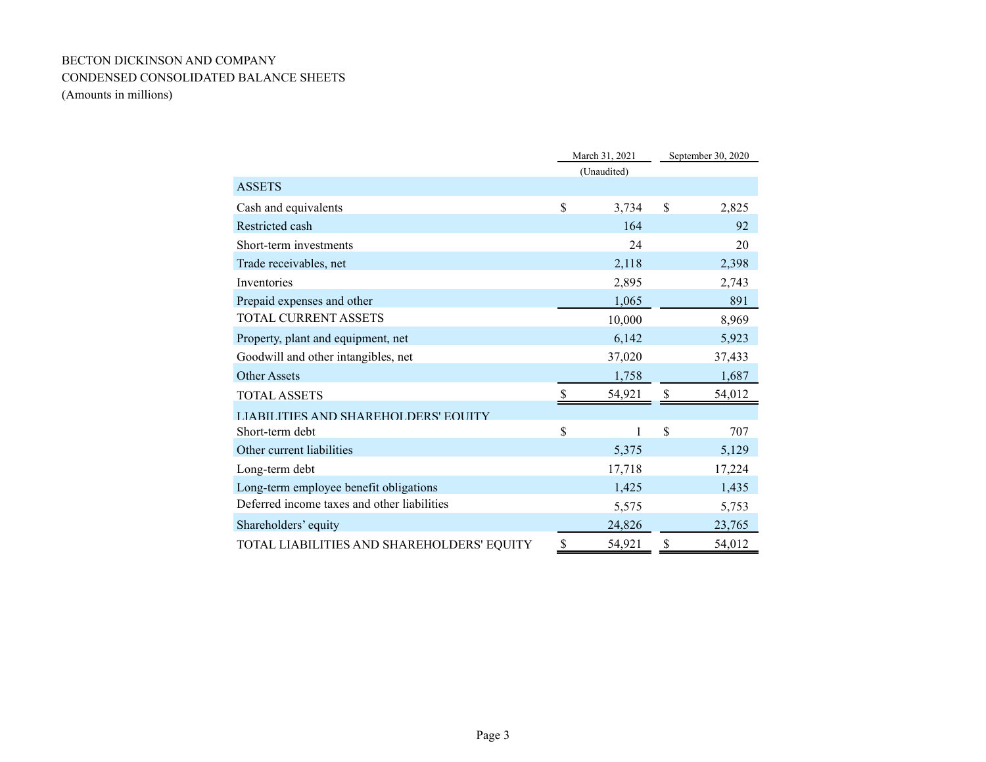# BECTON DICKINSON AND COMPANY CONDENSED CONSOLIDATED BALANCE SHEETS (Amounts in millions)

|                                             | March 31, 2021 | September 30, 2020 |
|---------------------------------------------|----------------|--------------------|
|                                             | (Unaudited)    |                    |
| <b>ASSETS</b>                               |                |                    |
| Cash and equivalents                        | \$<br>3,734    | \$<br>2,825        |
| Restricted cash                             | 164            | 92                 |
| Short-term investments                      | 24             | 20                 |
| Trade receivables, net                      | 2,118          | 2,398              |
| Inventories                                 | 2,895          | 2,743              |
| Prepaid expenses and other                  | 1,065          | 891                |
| <b>TOTAL CURRENT ASSETS</b>                 | 10,000         | 8,969              |
| Property, plant and equipment, net          | 6,142          | 5,923              |
| Goodwill and other intangibles, net         | 37,020         | 37,433             |
| <b>Other Assets</b>                         | 1,758          | 1,687              |
| <b>TOTAL ASSETS</b>                         | 54,921         | 54,012             |
| LIARILITIES AND SHAREHOLDERS' FOLIITY       |                |                    |
| Short-term debt                             | \$<br>1        | \$<br>707          |
| Other current liabilities                   | 5,375          | 5,129              |
| Long-term debt                              | 17,718         | 17,224             |
| Long-term employee benefit obligations      | 1,425          | 1,435              |
| Deferred income taxes and other liabilities | 5,575          | 5,753              |
| Shareholders' equity                        | 24,826         | 23,765             |
| TOTAL LIABILITIES AND SHAREHOLDERS' EQUITY  | \$<br>54,921   | \$<br>54,012       |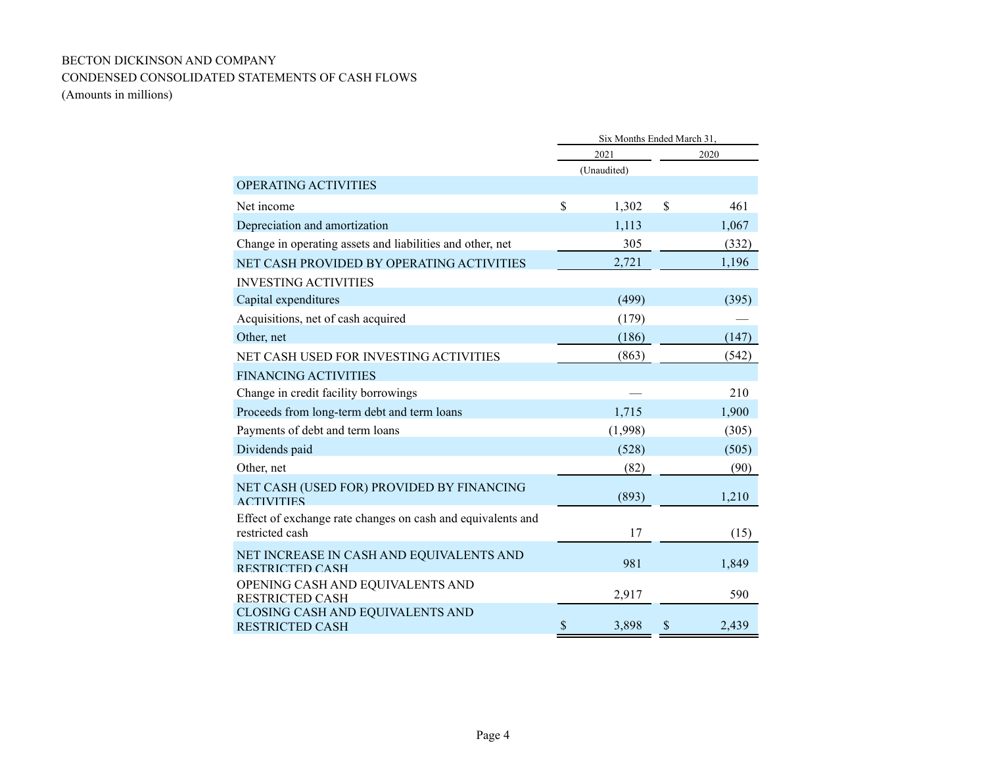# BECTON DICKINSON AND COMPANY CONDENSED CONSOLIDATED STATEMENTS OF CASH FLOWS (Amounts in millions)

|                                                                                |             | Six Months Ended March 31, |              |       |
|--------------------------------------------------------------------------------|-------------|----------------------------|--------------|-------|
|                                                                                |             | 2021                       |              | 2020  |
|                                                                                |             | (Unaudited)                |              |       |
| <b>OPERATING ACTIVITIES</b>                                                    |             |                            |              |       |
| Net income                                                                     | $\mathbf S$ | 1,302                      | $\mathbb{S}$ | 461   |
| Depreciation and amortization                                                  |             | 1,113                      |              | 1,067 |
| Change in operating assets and liabilities and other, net                      |             | 305                        |              | (332) |
| NET CASH PROVIDED BY OPERATING ACTIVITIES                                      |             | 2,721                      |              | 1,196 |
| <b>INVESTING ACTIVITIES</b>                                                    |             |                            |              |       |
| Capital expenditures                                                           |             | (499)                      |              | (395) |
| Acquisitions, net of cash acquired                                             |             | (179)                      |              |       |
| Other, net                                                                     |             | (186)                      |              | (147) |
| NET CASH USED FOR INVESTING ACTIVITIES                                         |             | (863)                      |              | (542) |
| <b>FINANCING ACTIVITIES</b>                                                    |             |                            |              |       |
| Change in credit facility borrowings                                           |             |                            |              | 210   |
| Proceeds from long-term debt and term loans                                    |             | 1,715                      |              | 1,900 |
| Payments of debt and term loans                                                |             | (1,998)                    |              | (305) |
| Dividends paid                                                                 |             | (528)                      |              | (505) |
| Other, net                                                                     |             | (82)                       |              | (90)  |
| NET CASH (USED FOR) PROVIDED BY FINANCING<br><b>ACTIVITIES</b>                 |             | (893)                      |              | 1,210 |
| Effect of exchange rate changes on cash and equivalents and<br>restricted cash |             | 17                         |              | (15)  |
| NET INCREASE IN CASH AND EQUIVALENTS AND<br><b>RESTRICTED CASH</b>             |             | 981                        |              | 1,849 |
| OPENING CASH AND EQUIVALENTS AND<br><b>RESTRICTED CASH</b>                     |             | 2,917                      |              | 590   |
| CLOSING CASH AND EQUIVALENTS AND<br><b>RESTRICTED CASH</b>                     | \$          | 3,898                      | S            | 2,439 |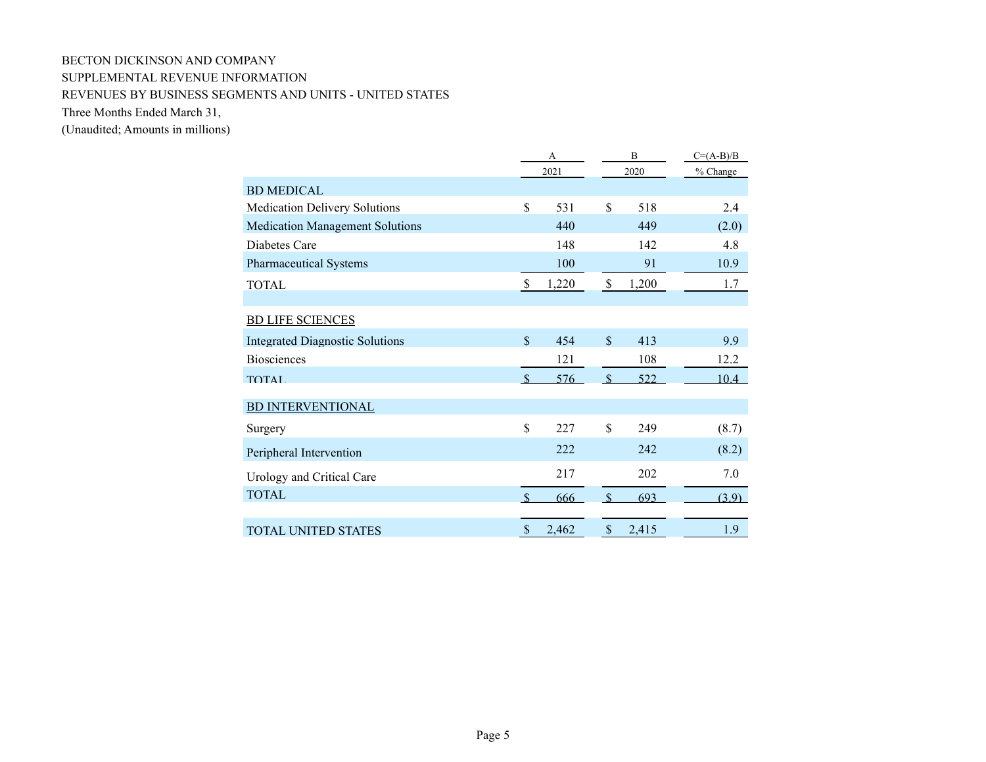# BECTON DICKINSON AND COMPANY SUPPLEMENTAL REVENUE INFORMATION REVENUES BY BUSINESS SEGMENTS AND UNITS - UNITED STATES

Three Months Ended March 31,

|                                        |               | А     |                           | B     | $C=(A-B)/B$ |
|----------------------------------------|---------------|-------|---------------------------|-------|-------------|
|                                        |               | 2021  |                           | 2020  | % Change    |
| <b>BD MEDICAL</b>                      |               |       |                           |       |             |
| Medication Delivery Solutions          | \$            | 531   | \$                        | 518   | 2.4         |
| <b>Medication Management Solutions</b> |               | 440   |                           | 449   | (2.0)       |
| Diabetes Care                          |               | 148   |                           | 142   | 4.8         |
| Pharmaceutical Systems                 |               | 100   |                           | 91    | 10.9        |
| <b>TOTAL</b>                           | $\mathbb{S}$  | 1,220 | $\boldsymbol{\mathsf{S}}$ | 1,200 | 1.7         |
|                                        |               |       |                           |       |             |
| <b>BD LIFE SCIENCES</b>                |               |       |                           |       |             |
| <b>Integrated Diagnostic Solutions</b> | $\mathbf S$   | 454   | $\mathbf S$               | 413   | 9.9         |
| <b>Biosciences</b>                     |               | 121   |                           | 108   | 12.2        |
| <b>TOTAL</b>                           | $\mathcal{S}$ | 576   | $\mathcal{S}$             | 522   | 10.4        |
| <b>BD INTERVENTIONAL</b>               |               |       |                           |       |             |
| Surgery                                | \$            | 227   | \$                        | 249   | (8.7)       |
| Peripheral Intervention                |               | 222   |                           | 242   | (8.2)       |
| Urology and Critical Care              |               | 217   |                           | 202   | 7.0         |
| <b>TOTAL</b>                           |               | 666   | $\mathbf{\hat{S}}$        | 693   | (3.9)       |
|                                        |               |       |                           |       |             |
| <b>TOTAL UNITED STATES</b>             | \$            | 2,462 | $\$$                      | 2,415 | 1.9         |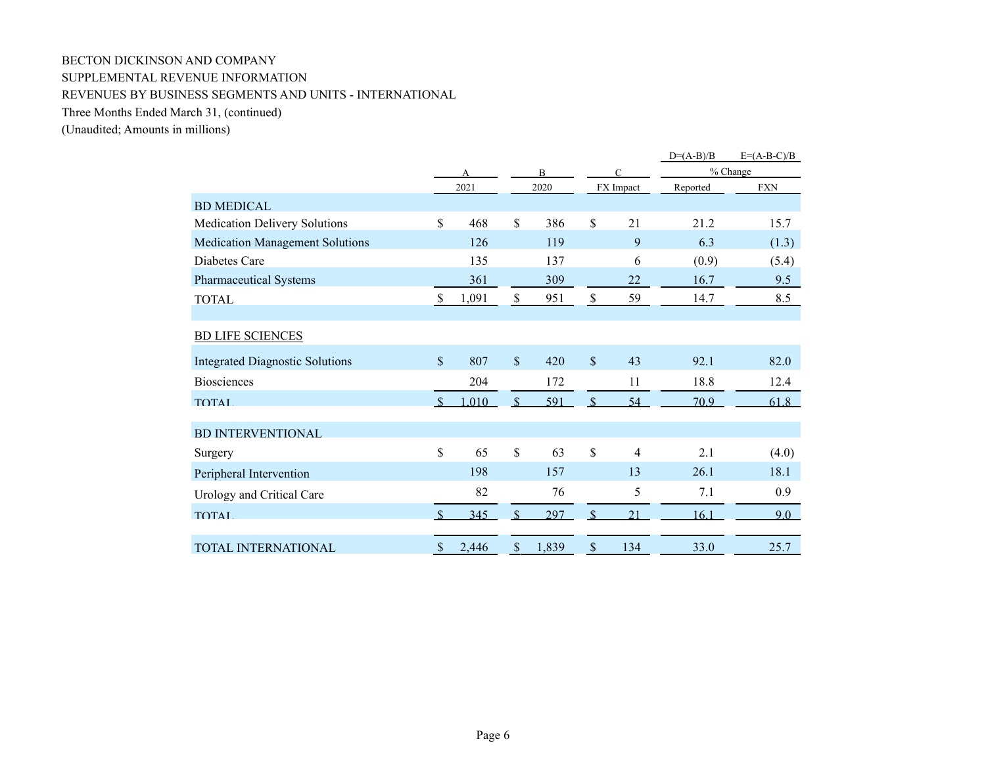# BECTON DICKINSON AND COMPANY SUPPLEMENTAL REVENUE INFORMATION REVENUES BY BUSINESS SEGMENTS AND UNITS - INTERNATIONAL

Three Months Ended March 31, (continued)

|                                        |               |       |               |                |               |                | $D=(A-B)/B$ | $E=(A-B-C)/B$ |
|----------------------------------------|---------------|-------|---------------|----------------|---------------|----------------|-------------|---------------|
|                                        |               |       |               | $\overline{B}$ |               | $\subset$      |             | % Change      |
|                                        |               | 2021  |               | 2020           |               | FX Impact      | Reported    | <b>FXN</b>    |
| <b>BD MEDICAL</b>                      |               |       |               |                |               |                |             |               |
| Medication Delivery Solutions          | \$            | 468   | \$            | 386            | \$            | 21             | 21.2        | 15.7          |
| <b>Medication Management Solutions</b> |               | 126   |               | 119            |               | 9              | 6.3         | (1.3)         |
| Diabetes Care                          |               | 135   |               | 137            |               | 6              | (0.9)       | (5.4)         |
| <b>Pharmaceutical Systems</b>          |               | 361   |               | 309            |               | 22             | 16.7        | 9.5           |
| <b>TOTAL</b>                           | \$            | 1,091 | \$            | 951            | $\mathcal{S}$ | 59             | 14.7        | 8.5           |
|                                        |               |       |               |                |               |                |             |               |
| <b>BD LIFE SCIENCES</b>                |               |       |               |                |               |                |             |               |
| <b>Integrated Diagnostic Solutions</b> | $\sqrt{\ }$   | 807   | $\mathbb{S}$  | 420            | \$            | 43             | 92.1        | 82.0          |
| <b>Biosciences</b>                     |               | 204   |               | 172            |               | 11             | 18.8        | 12.4          |
| <b>TOTAL</b>                           | <sup>\$</sup> | .010  | $\mathcal{S}$ | 591            | $\mathcal{S}$ | 54             | 70.9        | 61.8          |
| <b>BD INTERVENTIONAL</b>               |               |       |               |                |               |                |             |               |
| Surgery                                | \$            | 65    | \$            | 63             | \$            | $\overline{4}$ | 2.1         | (4.0)         |
| Peripheral Intervention                |               | 198   |               | 157            |               | 13             | 26.1        | 18.1          |
| Urology and Critical Care              |               | 82    |               | 76             |               | 5              | 7.1         | 0.9           |
| <b>TOTAL</b>                           |               | 345   |               | 297            |               | 21             | 16.1        | $9.0 -$       |
| <b>TOTAL INTERNATIONAL</b>             | \$            | 2,446 | $\mathcal{S}$ | 1,839          | $\mathcal{S}$ | 134            | 33.0        | 25.7          |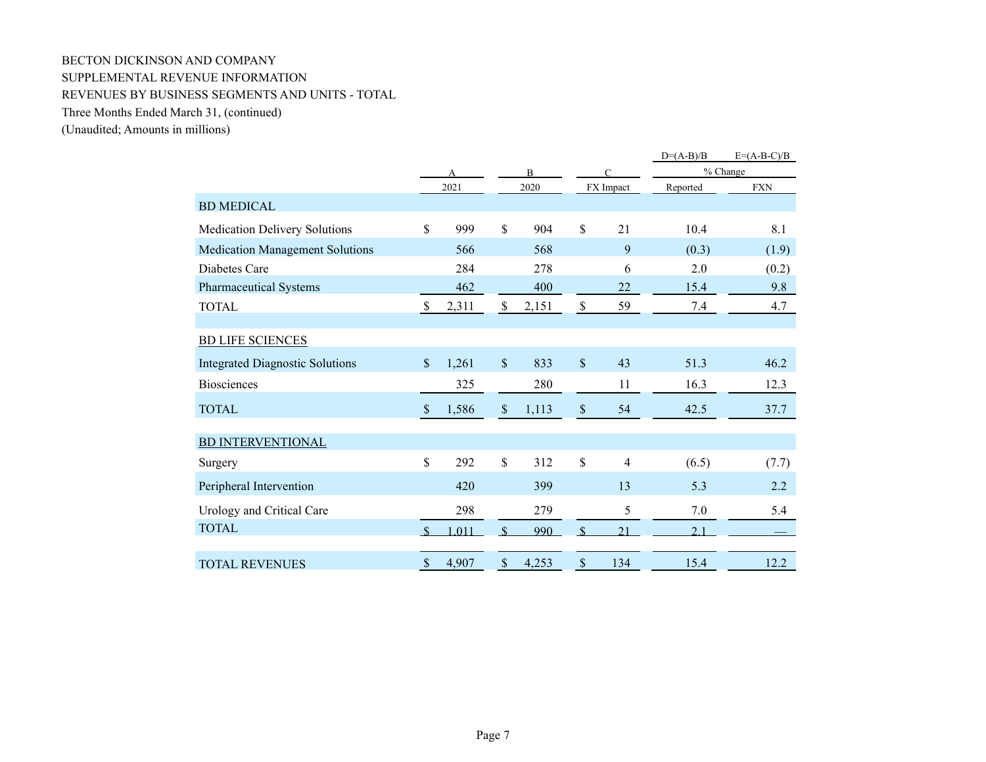# BECTON DICKINSON AND COMPANY SUPPLEMENTAL REVENUE INFORMATION REVENUES BY BUSINESS SEGMENTS AND UNITS - TOTAL

Three Months Ended March 31, (continued)

|                                        |                           |       |                    |                |                           |                | $D=(A-B)/B$    | $E=(A-B-C)/B$ |
|----------------------------------------|---------------------------|-------|--------------------|----------------|---------------------------|----------------|----------------|---------------|
|                                        |                           |       |                    | $\overline{B}$ |                           | $\subset$      |                | % Change      |
|                                        |                           | 2021  |                    | 2020           |                           | FX Impact      | Reported       | <b>FXN</b>    |
| <b>BD MEDICAL</b>                      |                           |       |                    |                |                           |                |                |               |
| <b>Medication Delivery Solutions</b>   | \$                        | 999   | $\mathbb S$        | 904            | \$                        | 21             | 10.4           | 8.1           |
| <b>Medication Management Solutions</b> |                           | 566   |                    | 568            |                           | 9              | (0.3)          | (1.9)         |
| Diabetes Care                          |                           | 284   |                    | 278            |                           | 6              | 2.0            | (0.2)         |
| <b>Pharmaceutical Systems</b>          |                           | 462   |                    | 400            |                           | 22             | 15.4           | 9.8           |
| <b>TOTAL</b>                           | \$                        | 2,311 | \$                 | 2,151          | $\$$                      | 59             | 7.4            | 4.7           |
|                                        |                           |       |                    |                |                           |                |                |               |
| <b>BD LIFE SCIENCES</b>                |                           |       |                    |                |                           |                |                |               |
| <b>Integrated Diagnostic Solutions</b> | $\mathcal{S}$             | 1,261 | $\mathbb S$        | 833            | $\boldsymbol{\mathsf{S}}$ | 43             | 51.3           | 46.2          |
| <b>Biosciences</b>                     |                           | 325   |                    | 280            |                           | 11             | 16.3           | 12.3          |
| <b>TOTAL</b>                           | $\boldsymbol{\mathsf{S}}$ | 1,586 | $\$$               | 1,113          | $\$$                      | 54             | 42.5           | 37.7          |
| <b>BD INTERVENTIONAL</b>               |                           |       |                    |                |                           |                |                |               |
| Surgery                                | \$                        | 292   | $\mathbb S$        | 312            | \$                        | $\overline{4}$ | (6.5)          | (7.7)         |
| Peripheral Intervention                |                           | 420   |                    | 399            |                           | 13             | 5.3            | 2.2           |
| Urology and Critical Care              |                           | 298   |                    | 279            |                           | 5              | 7.0            | 5.4           |
| <b>TOTAL</b>                           | $\mathcal{S}$             | 1.011 | $\mathbf{\hat{S}}$ | 990            | $\mathcal{S}$             | 21             | 2 <sub>1</sub> |               |
| <b>TOTAL REVENUES</b>                  | $\mathcal{S}$             | 4,907 | $\mathcal{S}$      | 4,253          | \$                        | 134            | 15.4           | 12.2          |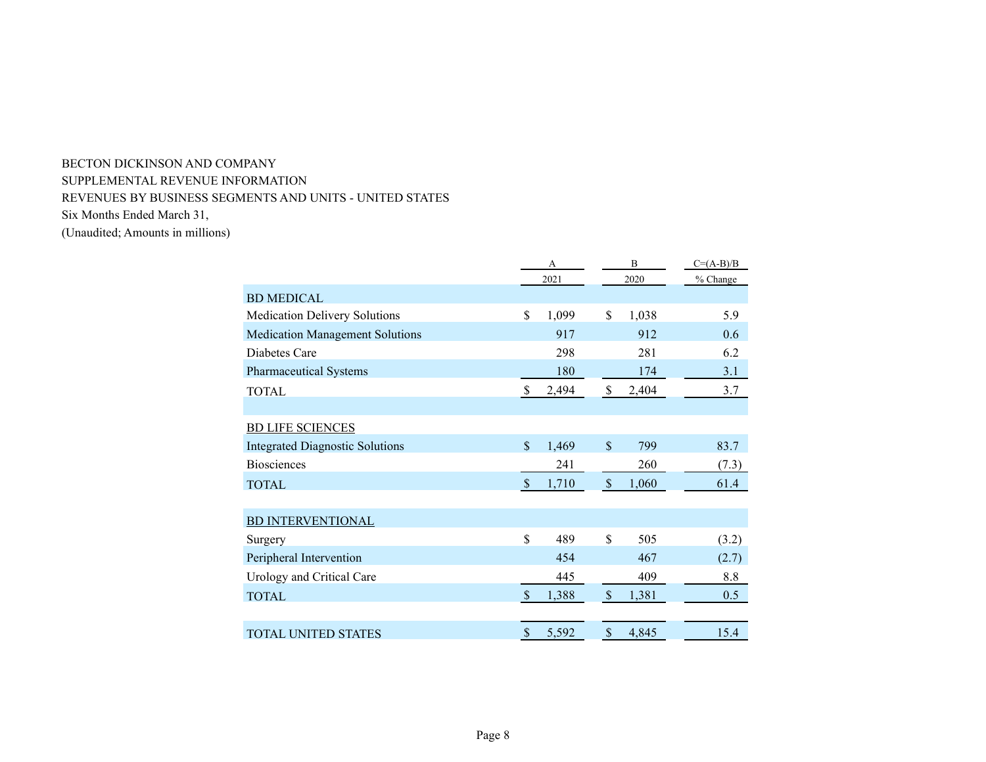# BECTON DICKINSON AND COMPANY SUPPLEMENTAL REVENUE INFORMATION REVENUES BY BUSINESS SEGMENTS AND UNITS - UNITED STATES Six Months Ended March 31, (Unaudited; Amounts in millions)

|                                        |                           | А     |              | $C=(A-B)/B$ |          |
|----------------------------------------|---------------------------|-------|--------------|-------------|----------|
|                                        | 2021                      |       | 2020         |             | % Change |
| <b>BD MEDICAL</b>                      |                           |       |              |             |          |
| <b>Medication Delivery Solutions</b>   | \$                        | 1,099 | \$           | 1,038       | 5.9      |
| <b>Medication Management Solutions</b> |                           | 917   |              | 912         | 0.6      |
| Diabetes Care                          |                           | 298   |              | 281         | 6.2      |
| <b>Pharmaceutical Systems</b>          |                           | 180   |              | 174         | 3.1      |
| <b>TOTAL</b>                           | \$                        | 2,494 | \$           | 2,404       | 3.7      |
|                                        |                           |       |              |             |          |
| <b>BD LIFE SCIENCES</b>                |                           |       |              |             |          |
| <b>Integrated Diagnostic Solutions</b> | $\mathbf{\hat{S}}$        | 1,469 | $\mathbb{S}$ | 799         | 83.7     |
| <b>Biosciences</b>                     |                           | 241   |              | 260         | (7.3)    |
| <b>TOTAL</b>                           | $\mathcal{S}$             | 1,710 | $\$\,$       | 1,060       | 61.4     |
|                                        |                           |       |              |             |          |
| <b>BD INTERVENTIONAL</b>               |                           |       |              |             |          |
| Surgery                                | \$                        | 489   | \$           | 505         | (3.2)    |
| Peripheral Intervention                |                           | 454   |              | 467         | (2.7)    |
| Urology and Critical Care              |                           | 445   |              | 409         | 8.8      |
| <b>TOTAL</b>                           | $\sqrt{3}$                | 1,388 | $\$\,$       | 1,381       | 0.5      |
|                                        |                           |       |              |             |          |
| <b>TOTAL UNITED STATES</b>             | $\boldsymbol{\mathsf{S}}$ | 5,592 | $\$\,$       | 4,845       | 15.4     |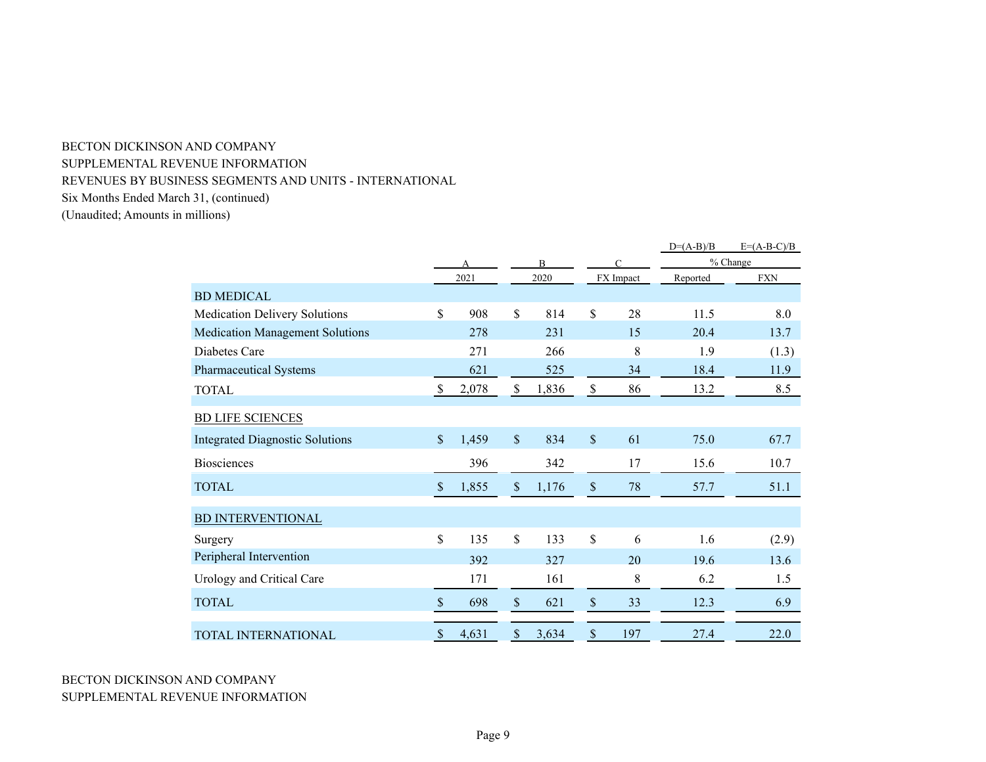# BECTON DICKINSON AND COMPANY

SUPPLEMENTAL REVENUE INFORMATION

REVENUES BY BUSINESS SEGMENTS AND UNITS - INTERNATIONAL

Six Months Ended March 31, (continued)

|                                        |                           |       |               |                |                           |           | $D=(A-B)/B$ | $E=(A-B-C)/B$ |  |
|----------------------------------------|---------------------------|-------|---------------|----------------|---------------------------|-----------|-------------|---------------|--|
|                                        |                           |       |               | $\overline{B}$ |                           | $\Gamma$  |             | % Change      |  |
|                                        |                           | 2021  |               | 2020           |                           | FX Impact | Reported    | <b>FXN</b>    |  |
| <b>BD MEDICAL</b>                      |                           |       |               |                |                           |           |             |               |  |
| <b>Medication Delivery Solutions</b>   | \$                        | 908   | \$            | 814            | $\mathcal{S}$             | 28        | 11.5        | 8.0           |  |
| <b>Medication Management Solutions</b> |                           | 278   |               | 231            |                           | 15        | 20.4        | 13.7          |  |
| Diabetes Care                          |                           | 271   |               | 266            |                           | 8         | 1.9         | (1.3)         |  |
| Pharmaceutical Systems                 |                           | 621   |               | 525            |                           | 34        | 18.4        | 11.9          |  |
| <b>TOTAL</b>                           | $\mathbf S$               | 2,078 | $\mathcal{S}$ | 1,836          | $\mathcal{S}$             | 86        | 13.2        | 8.5           |  |
| <b>BD LIFE SCIENCES</b>                |                           |       |               |                |                           |           |             |               |  |
| <b>Integrated Diagnostic Solutions</b> | $\boldsymbol{\mathsf{S}}$ | 1,459 | $\sqrt{\ }$   | 834            | $\mathcal{S}$             | 61        | 75.0        | 67.7          |  |
| <b>Biosciences</b>                     |                           | 396   |               | 342            |                           | 17        | 15.6        | 10.7          |  |
| <b>TOTAL</b>                           | $\boldsymbol{\mathsf{S}}$ | 1,855 | \$            | 1,176          | $\mathcal{S}$             | 78        | 57.7        | 51.1          |  |
| <b>BD INTERVENTIONAL</b>               |                           |       |               |                |                           |           |             |               |  |
| Surgery                                | \$                        | 135   | \$            | 133            | \$                        | 6         | 1.6         | (2.9)         |  |
| Peripheral Intervention                |                           | 392   |               | 327            |                           | 20        | 19.6        | 13.6          |  |
| Urology and Critical Care              |                           | 171   |               | 161            |                           | 8         | 6.2         | 1.5           |  |
| <b>TOTAL</b>                           | $\$$                      | 698   | \$            | 621            | $\$$                      | 33        | 12.3        | 6.9           |  |
| <b>TOTAL INTERNATIONAL</b>             | $\sqrt$                   | 4,631 | $\$$          | 3,634          | $\boldsymbol{\mathsf{S}}$ | 197       | 27.4        | 22.0          |  |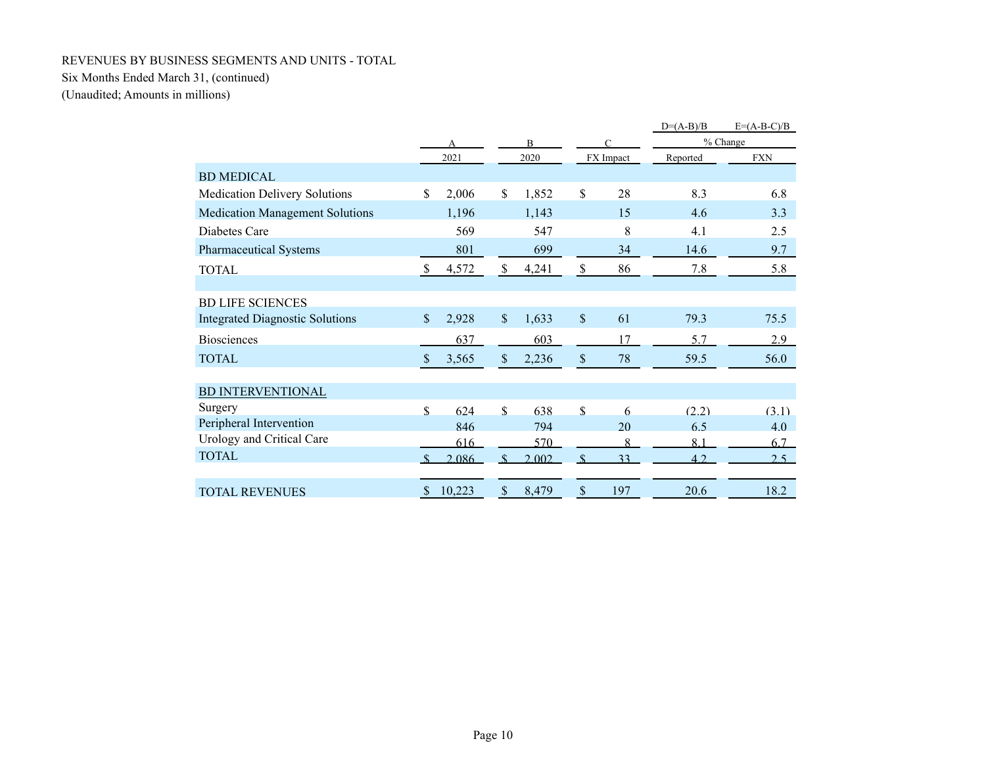### REVENUES BY BUSINESS SEGMENTS AND UNITS - TOTAL

# Six Months Ended March 31, (continued)

|                                        |                           |        |                    |       |                      |           | $D=(A-B)/B$ | $E=(A-B-C)/B$ |
|----------------------------------------|---------------------------|--------|--------------------|-------|----------------------|-----------|-------------|---------------|
|                                        |                           | А      |                    | B     |                      | C         |             | % Change      |
|                                        |                           | 2021   |                    | 2020  |                      | FX Impact | Reported    | <b>FXN</b>    |
| <b>BD MEDICAL</b>                      |                           |        |                    |       |                      |           |             |               |
| <b>Medication Delivery Solutions</b>   | \$.                       | 2,006  | \$                 | 1,852 | $\mathbb{S}$         | 28        | 8.3         | 6.8           |
| <b>Medication Management Solutions</b> |                           | 1,196  |                    | 1,143 |                      | 15        | 4.6         | 3.3           |
| Diabetes Care                          |                           | 569    |                    | 547   |                      | 8         | 4.1         | 2.5           |
| Pharmaceutical Systems                 |                           | 801    |                    | 699   |                      | 34        | 14.6        | 9.7           |
| <b>TOTAL</b>                           | $\mathbb{S}$              | 4,572  | \$                 | 4,241 | \$                   | 86        | 7.8         | 5.8           |
|                                        |                           |        |                    |       |                      |           |             |               |
| <b>BD LIFE SCIENCES</b>                |                           |        |                    |       |                      |           |             |               |
| <b>Integrated Diagnostic Solutions</b> | $\mathcal{S}$             | 2,928  | $\mathcal{S}$      | 1,633 | $\sqrt{\frac{2}{5}}$ | 61        | 79.3        | 75.5          |
| <b>Biosciences</b>                     |                           | 637    |                    | 603   |                      | 17        | 5.7         | 2.9           |
| <b>TOTAL</b>                           | $\mathbb{S}$              | 3,565  | \$                 | 2,236 | $\$$                 | 78        | 59.5        | 56.0          |
| <b>BD INTERVENTIONAL</b>               |                           |        |                    |       |                      |           |             |               |
| Surgery                                | \$                        | 624    | $\mathbf{\hat{S}}$ | 638   | $\mathbf{\hat{S}}$   | 6         | (2.2)       | (3.1)         |
| Peripheral Intervention                |                           | 846    |                    | 794   |                      | 20        | 6.5         | 4.0           |
| Urology and Critical Care              |                           | 616    |                    | 570   |                      | 8         | 8.1         | 6.7           |
| <b>TOTAL</b>                           |                           | 2.086  | $\mathcal{S}$      | 2.002 | $\mathbf{\hat{S}}$   | 33        | 42          | 2.5           |
|                                        |                           |        |                    |       |                      |           |             |               |
| <b>TOTAL REVENUES</b>                  | $\boldsymbol{\mathsf{S}}$ | 10,223 | $\$$               | 8,479 | $\$$                 | 197       | 20.6        | 18.2          |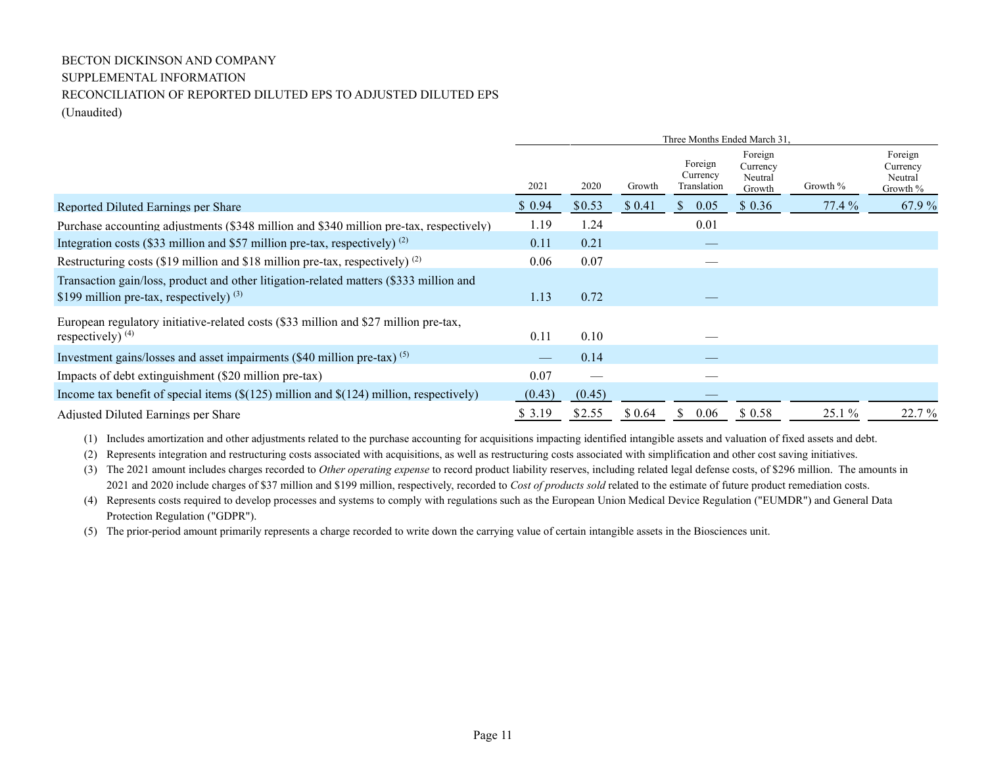# BECTON DICKINSON AND COMPANY SUPPLEMENTAL INFORMATION RECONCILIATION OF REPORTED DILUTED EPS TO ADJUSTED DILUTED EPS (Unaudited)

|                                                                                                                                      | Three Months Ended March 31, |        |         |                                    |                                          |          |                                            |  |  |
|--------------------------------------------------------------------------------------------------------------------------------------|------------------------------|--------|---------|------------------------------------|------------------------------------------|----------|--------------------------------------------|--|--|
|                                                                                                                                      | 2021                         | 2020   | Growth  | Foreign<br>Currency<br>Translation | Foreign<br>Currency<br>Neutral<br>Growth | Growth % | Foreign<br>Currency<br>Neutral<br>Growth % |  |  |
| Reported Diluted Earnings per Share                                                                                                  | \$0.94                       | \$0.53 | \$0.41  | 0.05<br>S.                         | \$0.36                                   | $77.4\%$ | 67.9 %                                     |  |  |
| Purchase accounting adjustments (\$348 million and \$340 million pre-tax, respectively)                                              | 1.19                         | 1.24   |         | 0.01                               |                                          |          |                                            |  |  |
| Integration costs (\$33 million and \$57 million pre-tax, respectively) $(2)$                                                        | 0.11                         | 0.21   |         |                                    |                                          |          |                                            |  |  |
| Restructuring costs (\$19 million and \$18 million pre-tax, respectively) $(2)$                                                      | 0.06                         | 0.07   |         | __                                 |                                          |          |                                            |  |  |
| Transaction gain/loss, product and other litigation-related matters (\$333 million and<br>\$199 million pre-tax, respectively) $(3)$ | 1.13                         | 0.72   |         |                                    |                                          |          |                                            |  |  |
| European regulatory initiative-related costs (\$33 million and \$27 million pre-tax,<br>respectively) $(4)$                          | 0.11                         | 0.10   |         |                                    |                                          |          |                                            |  |  |
| Investment gains/losses and asset impairments $(\$40$ million pre-tax) $(5)$                                                         |                              | 0.14   |         |                                    |                                          |          |                                            |  |  |
| Impacts of debt extinguishment (\$20 million pre-tax)                                                                                | 0.07                         |        |         |                                    |                                          |          |                                            |  |  |
| Income tax benefit of special items $(\$((125)$ million and $$((124)$ million, respectively)                                         | (0.43)                       | (0.45) |         |                                    |                                          |          |                                            |  |  |
| Adjusted Diluted Earnings per Share                                                                                                  | \$ 3.19                      | \$2.55 | \$ 0.64 | 0.06<br>\$                         | \$0.58                                   | 25.1 %   | 22.7 %                                     |  |  |

(1) Includes amortization and other adjustments related to the purchase accounting for acquisitions impacting identified intangible assets and valuation of fixed assets and debt.

(2) Represents integration and restructuring costs associated with acquisitions, as well as restructuring costs associated with simplification and other cost saving initiatives.

(3) The 2021 amount includes charges recorded to *Other operating expense* to record product liability reserves, including related legal defense costs, of \$296 million. The amounts in 2021 and 2020 include charges of \$37 million and \$199 million, respectively, recorded to *Cost of products sold* related to the estimate of future product remediation costs.

(4) Represents costs required to develop processes and systems to comply with regulations such as the European Union Medical Device Regulation ("EUMDR") and General Data Protection Regulation ("GDPR").

(5) The prior-period amount primarily represents a charge recorded to write down the carrying value of certain intangible assets in the Biosciences unit.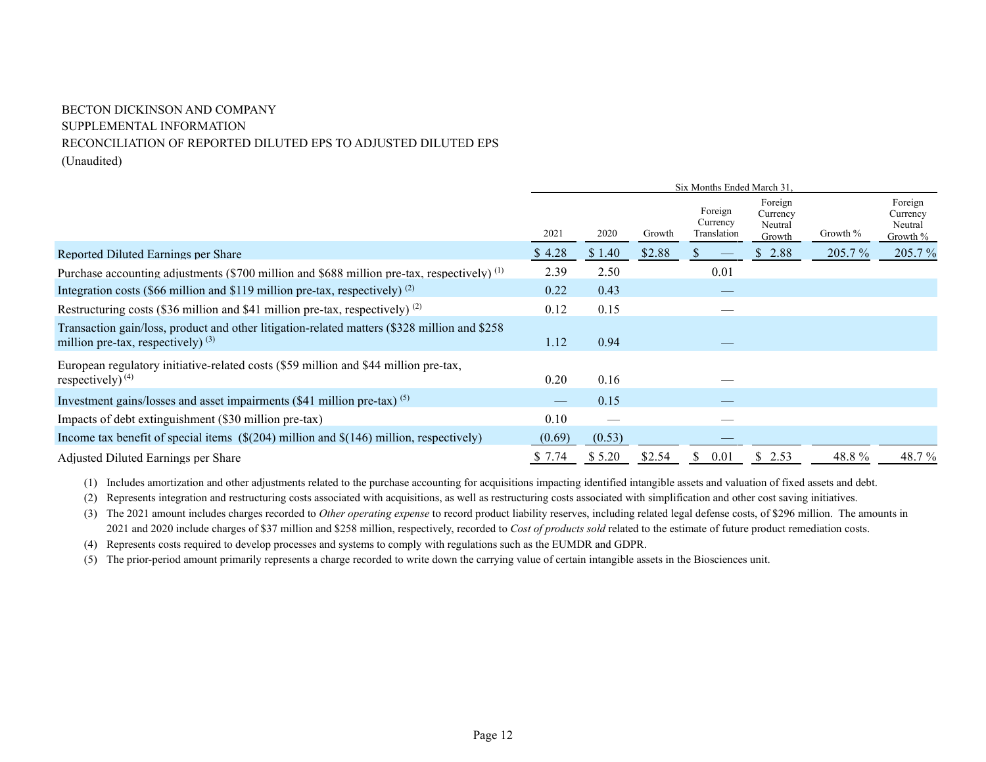# BECTON DICKINSON AND COMPANY SUPPLEMENTAL INFORMATION RECONCILIATION OF REPORTED DILUTED EPS TO ADJUSTED DILUTED EPS (Unaudited)

|                                                                                                                                       | Six Months Ended March 31. |        |        |                                    |                                          |          |                                            |  |
|---------------------------------------------------------------------------------------------------------------------------------------|----------------------------|--------|--------|------------------------------------|------------------------------------------|----------|--------------------------------------------|--|
|                                                                                                                                       | 2021                       | 2020   | Growth | Foreign<br>Currency<br>Translation | Foreign<br>Currency<br>Neutral<br>Growth | Growth % | Foreign<br>Currency<br>Neutral<br>Growth % |  |
| Reported Diluted Earnings per Share                                                                                                   | \$4.28                     | \$1.40 | \$2.88 |                                    | 2.88<br>\$                               | 205.7 %  | 205.7 %                                    |  |
| Purchase accounting adjustments (\$700 million and \$688 million pre-tax, respectively) <sup>(1)</sup>                                | 2.39                       | 2.50   |        | 0.01                               |                                          |          |                                            |  |
| Integration costs (\$66 million and \$119 million pre-tax, respectively) $(2)$                                                        | 0.22                       | 0.43   |        |                                    |                                          |          |                                            |  |
| Restructuring costs (\$36 million and \$41 million pre-tax, respectively) $^{(2)}$                                                    | 0.12                       | 0.15   |        |                                    |                                          |          |                                            |  |
| Transaction gain/loss, product and other litigation-related matters (\$328 million and \$258)<br>million pre-tax, respectively) $(3)$ | 1.12                       | 0.94   |        |                                    |                                          |          |                                            |  |
| European regulatory initiative-related costs (\$59 million and \$44 million pre-tax,<br>respectively) $(4)$                           | 0.20                       | 0.16   |        |                                    |                                          |          |                                            |  |
| Investment gains/losses and asset impairments $(\$41$ million pre-tax) $(5)$                                                          |                            | 0.15   |        |                                    |                                          |          |                                            |  |
| Impacts of debt extinguishment (\$30 million pre-tax)                                                                                 | 0.10                       |        |        |                                    |                                          |          |                                            |  |
| Income tax benefit of special items $(\$(204)$ million and $$(146)$ million, respectively)                                            | (0.69)                     | (0.53) |        |                                    |                                          |          |                                            |  |
| Adjusted Diluted Earnings per Share                                                                                                   | \$7.74                     | \$5.20 | \$2.54 | 0.01<br>Ъ.                         | S.<br>2.53                               | 48.8%    | 48.7 %                                     |  |

(1) Includes amortization and other adjustments related to the purchase accounting for acquisitions impacting identified intangible assets and valuation of fixed assets and debt.

(2) Represents integration and restructuring costs associated with acquisitions, as well as restructuring costs associated with simplification and other cost saving initiatives.

(3) The 2021 amount includes charges recorded to *Other operating expense* to record product liability reserves, including related legal defense costs, of \$296 million. The amounts in 2021 and 2020 include charges of \$37 million and \$258 million, respectively, recorded to *Cost of products sold* related to the estimate of future product remediation costs.

(4) Represents costs required to develop processes and systems to comply with regulations such as the EUMDR and GDPR.

(5) The prior-period amount primarily represents a charge recorded to write down the carrying value of certain intangible assets in the Biosciences unit.